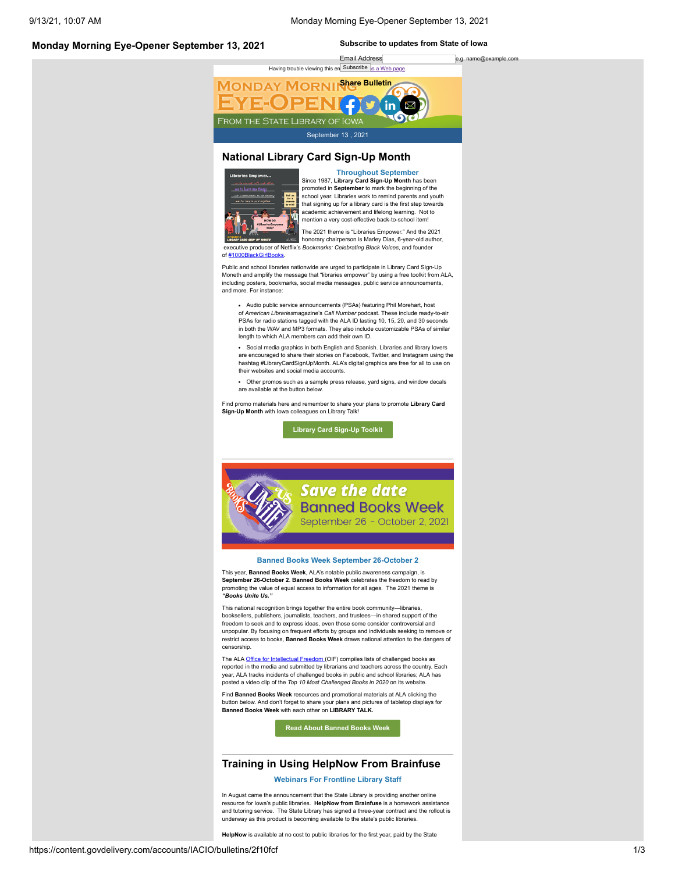## **Monday Morning Eye-Opener September 13, 2021**

#### **Subscribe to updates from State of Iowa**



# **National Library Card Sign-Up Month**



**Throughout September** Since 1987, **Library Card Sign-Up Month** has been promoted in **September** to mark the beginning of the school year. Libraries work to remind parents and youth that signing up for a library card is the first step towards academic achievement and lifelong learning. Not to mention a very cost-effective back-to-school item!

The 2021 theme is "Libraries Empower." And the 2021 honorary chairperson is Marley Dias, 6-year-old author, executive producer of Netflix's *Bookmarks: Celebrating Black Voices*, and founder

#### of #1000BlackGirlBo

Public and school libraries nationwide are urged to participate in Library Card Sign-Up Moneth and amplify the message that "libraries empower" by using a free toolkit from ALA, including posters, bookmarks, social media messages, public service announcements, and more. For instance:

Audio public service announcements (PSAs) featuring Phil Morehart, host of *American Libraries*magazine's *Call Number* podcast. These include ready-to-air PSAs for radio stations tagged with the ALA ID lasting 10, 15, 20, and 30 seconds in both the WAV and MP3 formats. They also include customizable PSAs of similar length to which ALA members can add their own ID.

Social media graphics in both English and Spanish. Libraries and library lovers are encouraged to share their stories on Facebook, Twitter, and Instagram using the hashtag #LibraryCardSignUpMonth. ALA's digital graphics are free for all to use on their websites and social media accounts.

Other promos such as a sample press release, yard signs, and window decals are available at the button below.

Find promo materials here and remember to share your plans to promote **Library Card Sign-Up Month** with Iowa colleagues on Library Talk!

**[Library Card Sign-Up Toolkit](https://www.ala.org/conferencesevents/celebrationweeks/card?utm_medium=email&utm_source=govdelivery)**



#### **Banned Books Week September 26-October 2**

This year, **Banned Books Week**, ALA's notable public awareness campaign, is **September 26-October 2**. **Banned Books Week** celebrates the freedom to read by promoting the value of equal access to information for all ages. The 2021 theme is *"Books Unite Us."*

This national recognition brings together the entire book community—libraries, booksellers, publishers, journalists, teachers, and trustees—in shared support of the freedom to seek and to express ideas, even those some consider controversial and unpopular. By focusing on frequent efforts by groups and individuals seeking to remove or restrict access to books, **Banned Books Week** draws national attention to the dangers of censorship.

The ALA <u>Office [for Intellectual Freedom](http://www.ala.org/offices/oif?utm_medium=email&utm_source=govdelivery) (</u>OIF) compiles lists of challenged books as<br>reported in the media and submitted by librarians and teachers across the country. Each year, ALA tracks incidents of challenged books in public and school libraries; ALA has posted a video clip of the *Top 10 Most Challenged Books in 2020* on its website.

Find **Banned Books Week** resources and promotional materials at ALA clicking the button below. And don't forget to share your plans and pictures of tabletop displays for **Banned Books Week** with each other on **LIBRARY TALK.**

**[Read About Banned Books Week](https://www.ala.org/news/mediapresscenter/presskits/bbw?utm_medium=email&utm_source=govdelivery)**

# **Training in Using HelpNow From Brainfuse**

**Webinars For Frontline Library Staff**

In August came the announcement that the State Library is providing another online resource for Iowa's public libraries. **HelpNow from Brainfuse** is a homework assistance and tutoring service. The State Library has signed a three-year contract and the rollout is underway as this product is becoming available to the state's public libraries.

**HelpNow** is available at no cost to public libraries for the first year, paid by the State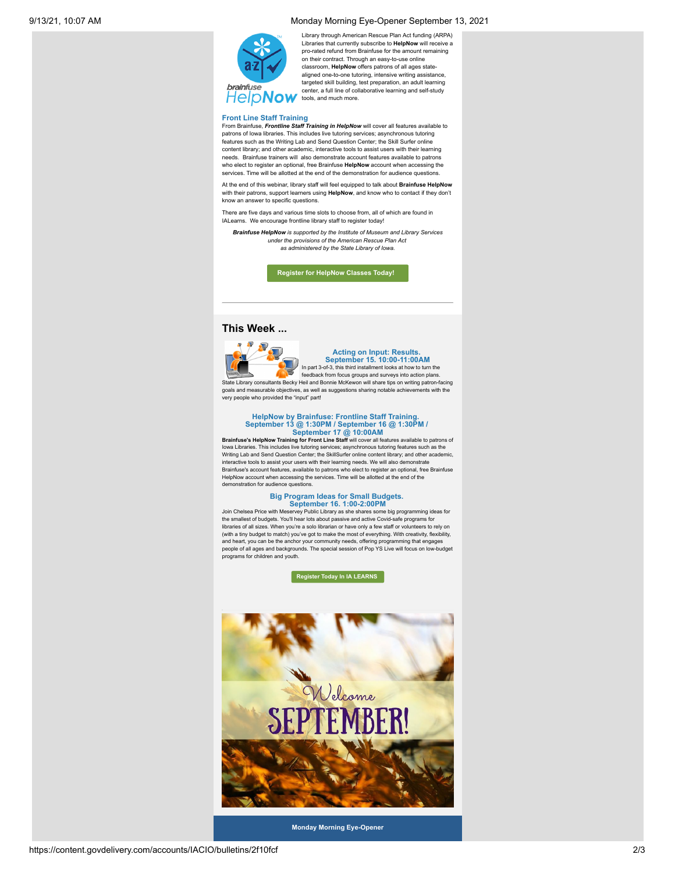#### 9/13/21, 10:07 AM Monday Morning Eye-Opener September 13, 2021



Library through American Rescue Plan Act funding (ARPA) Libraries that currently subscribe to **HelpNow** will receive pro-rated refund from Brainfuse for the amount remaining on their contract. Through an easy-to-use online classroom, **HelpNow** offers patrons of all ages statealigned one-to-one tutoring, intensive writing assistance, targeted skill building, test preparation, an adult learning center, a full line of collaborative learning and self-study  $He$   $N$ ow teols, and much more.

**Front Line Staff Training** From Brainfuse, *Frontline Staff Training in HelpNow* will cover all features available to patrons of Iowa libraries. This includes live tutoring services; asynchronous tutoring features such as the Writing Lab and Send Question Center; the Skill Surfer online content library; and other academic, interactive tools to assist users with their learning needs. Brainfuse trainers will also demonstrate account features available to patrons who elect to register an optional, free Brainfuse **HelpNow** account when accessing the services. Time will be allotted at the end of the demonstration for audience questions.

At the end of this webinar, library staff will feel equipped to talk about **Brainfuse HelpNow** with their patrons, support learners using **HelpNow**, and know who to contact if they don't know an answer to specific questions.

There are five days and various time slots to choose from, all of which are found in IALearns. We encourage frontline library staff to register today!

*Brainfuse HelpNow is supported by the Institute of Museum and Library Services under the provisions of the American Rescue Plan Act as administered by the State Library of Iowa.*

**[Register for HelpNow Classes Today!](https://lsglm700.learnsoft.com/LSGLM/Login/ialearns.aspx?utm_medium=email&utm_source=govdelivery)**

### **This Week ...**



**Acting on Input: Results. September 15. 10:00-11:00AM** In part 3-of-3, this third installment looks at how to turn the

feedback from focus groups and surveys into action plans. State Library consultants Becky Heil and Bonnie McKewon will share tips on writing patron-facing goals and measurable objectives, as well as suggestions sharing notable achievements with the very people who provided the "input" part!

# **HelpNow by Brainfuse: Frontline Staff Training. September 13 @ 1:30PM / September 16 @ 1:30PM /**

**September 17 @ 10:00AM Brainfuse's HelpNow Training for Front Line Staff** will cover all features available to patrons of Iowa Libraries. This includes live tutoring services; asynchronous tutoring features such as the<br>Writing Lab and Send Question Center; the SkillSurfer online content library; and other academic, interactive tools to assist your users with their learning needs. We will also demonstrate Brainfuse's account features, available to patrons who elect to register an optional, free Brainfuse HelpNow account when accessing the services. Time will be allotted at the end of the demonstration for audience questions.

# **Big Program Ideas for Small Budgets.**

**September 16. 1:00-2:00PM** Join Chelsea Price with Meservey Public Library as she shares some big programming ideas for the smallest of budgets. You'll hear lots about passive and active Covid-safe programs for libraries of all sizes. When you're a solo librarian or have only a few staff or volunteers to rely on (with a tiny budget to match) you've got to make the most of everything. With creativity, flexibility, and heart, you can be the anchor your community needs, offering programming that engages people of all ages and backgrounds. The special session of Pop YS Live will focus on low-budget programs for children and youth.

**[Register Today In IA LEARNS](https://lsglm700.learnsoft.com/LSGLM/Login/ialearns.aspx?utm_medium=email&utm_source=govdelivery)**



**Monday Morning Eye-Opener**